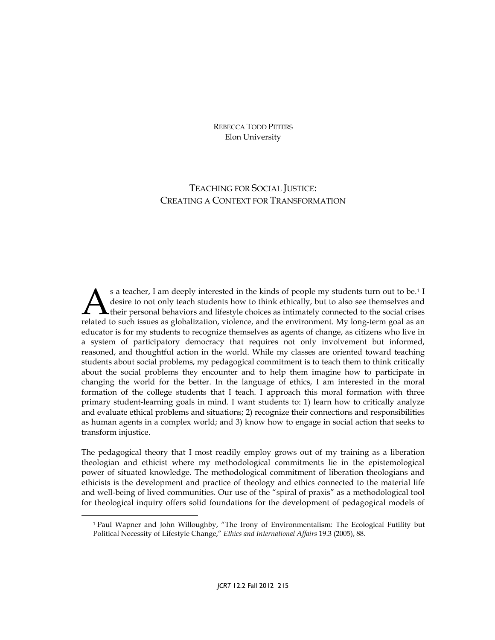REBECCA TODD PETERS Elon University

# TEACHING FOR SOCIAL JUSTICE: CREATING A CONTEXT FOR TRANSFORMATION

s a teacher, I am deeply interested in the kinds of people my students turn out to be.[1](#page-0-0) I desire to not only teach students how to think ethically, but to also see themselves and their personal behaviors and lifestyle choices as intimately connected to the social crises Solution and the such students how to think ethically, but to also see themselves and their personal behaviors and lifestyle choices as intimately connected to the social crises related to such issues as globalization, vio educator is for my students to recognize themselves as agents of change, as citizens who live in a system of participatory democracy that requires not only involvement but informed, reasoned, and thoughtful action in the world. While my classes are oriented toward teaching students about social problems, my pedagogical commitment is to teach them to think critically about the social problems they encounter and to help them imagine how to participate in changing the world for the better. In the language of ethics, I am interested in the moral formation of the college students that I teach. I approach this moral formation with three primary student-learning goals in mind. I want students to: 1) learn how to critically analyze and evaluate ethical problems and situations; 2) recognize their connections and responsibilities as human agents in a complex world; and 3) know how to engage in social action that seeks to transform injustice.

The pedagogical theory that I most readily employ grows out of my training as a liberation theologian and ethicist where my methodological commitments lie in the epistemological power of situated knowledge. The methodological commitment of liberation theologians and ethicists is the development and practice of theology and ethics connected to the material life and well-being of lived communities. Our use of the "spiral of praxis" as a methodological tool for theological inquiry offers solid foundations for the development of pedagogical models of

<span id="page-0-0"></span><sup>1</sup> Paul Wapner and John Willoughby, "The Irony of Environmentalism: The Ecological Futility but Political Necessity of Lifestyle Change," *Ethics and International Affairs* 19.3 (2005), 88.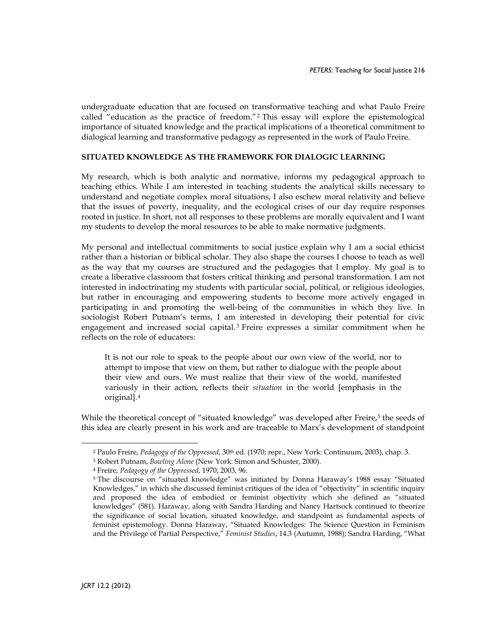undergraduate education that are focused on transformative teaching and what Paulo Freire called "education as the practice of freedom."[2](#page-1-0) This essay will explore the epistemological importance of situated knowledge and the practical implications of a theoretical commitment to dialogical learning and transformative pedagogy as represented in the work of Paulo Freire.

#### **SITUATED KNOWLEDGE AS THE FRAMEWORK FOR DIALOGIC LEARNING**

My research, which is both analytic and normative, informs my pedagogical approach to teaching ethics. While I am interested in teaching students the analytical skills necessary to understand and negotiate complex moral situations, I also eschew moral relativity and believe that the issues of poverty, inequality, and the ecological crises of our day require responses rooted in justice. In short, not all responses to these problems are morally equivalent and I want my students to develop the moral resources to be able to make normative judgments.

My personal and intellectual commitments to social justice explain why I am a social ethicist rather than a historian or biblical scholar. They also shape the courses I choose to teach as well as the way that my courses are structured and the pedagogies that I employ. My goal is to create a liberative classroom that fosters critical thinking and personal transformation. I am not interested in indoctrinating my students with particular social, political, or religious ideologies, but rather in encouraging and empowering students to become more actively engaged in participating in and promoting the well-being of the communities in which they live. In sociologist Robert Putnam's terms, I am interested in developing their potential for civic engagement and increased social capital. [3](#page-1-1) Freire expresses a similar commitment when he reflects on the role of educators:

It is not our role to speak to the people about our own view of the world, nor to attempt to impose that view on them, but rather to dialogue with the people about their view and ours. We must realize that their view of the world, manifested variously in their action, reflects their *situation* in the world [emphasis in the original].[4](#page-1-2)

<span id="page-1-1"></span><span id="page-1-0"></span>While the theoretical concept of "situated knowledge" was developed after Freire,<sup>[5](#page-1-3)</sup> the seeds of this idea are clearly present in his work and are traceable to Marx's development of standpoint

<sup>&</sup>lt;sup>2</sup> Paulo Freire, *Pedagogy of the Oppressed*, 30<sup>th</sup> ed. (1970; repr., New York: Continuum, 2003), chap. 3.

<sup>3</sup> Robert Putnam, *Bowling Alone* (New York: Simon and Schuster, 2000).

<span id="page-1-2"></span><sup>4</sup> Freire, *Pedagogy of the Oppressed*, 1970; 2003, 96.

<span id="page-1-3"></span><sup>5</sup> The discourse on "situated knowledge" was initiated by Donna Haraway's 1988 essay "Situated Knowledges," in which she discussed feminist critiques of the idea of "objectivity" in scientific inquiry and proposed the idea of embodied or feminist objectivity which she defined as "situated knowledges" (581). Haraway, along with Sandra Harding and Nancy Hartsock continued to theorize the significance of social location, situated knowledge, and standpoint as fundamental aspects of feminist epistemology. Donna Haraway, "Situated Knowledges: The Science Question in Feminism and the Privilege of Partial Perspective," *Feminist Studies*, 14.3 (Autumn, 1988); Sandra Harding, "What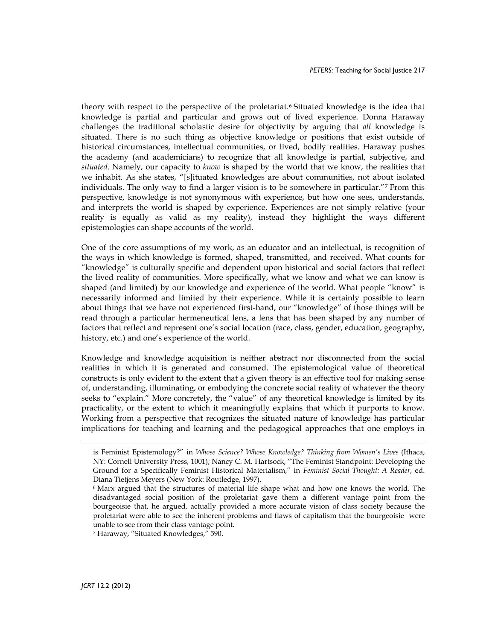theory with respect to the perspective of the proletariat.[6](#page-2-0) Situated knowledge is the idea that knowledge is partial and particular and grows out of lived experience. Donna Haraway challenges the traditional scholastic desire for objectivity by arguing that *all* knowledge is situated. There is no such thing as objective knowledge or positions that exist outside of historical circumstances, intellectual communities, or lived, bodily realities. Haraway pushes the academy (and academicians) to recognize that all knowledge is partial, subjective, and *situated*. Namely, our capacity to *know* is shaped by the world that we know, the realities that we inhabit. As she states, "[s]ituated knowledges are about communities, not about isolated individuals. The only way to find a larger vision is to be somewhere in particular."[7](#page-2-1) From this perspective, knowledge is not synonymous with experience, but how one sees, understands, and interprets the world is shaped by experience. Experiences are not simply relative (your reality is equally as valid as my reality), instead they highlight the ways different epistemologies can shape accounts of the world.

One of the core assumptions of my work, as an educator and an intellectual, is recognition of the ways in which knowledge is formed, shaped, transmitted, and received. What counts for "knowledge" is culturally specific and dependent upon historical and social factors that reflect the lived reality of communities. More specifically, what we know and what we can know is shaped (and limited) by our knowledge and experience of the world. What people "know" is necessarily informed and limited by their experience. While it is certainly possible to learn about things that we have not experienced first-hand, our "knowledge" of those things will be read through a particular hermeneutical lens, a lens that has been shaped by any number of factors that reflect and represent one's social location (race, class, gender, education, geography, history, etc.) and one's experience of the world.

Knowledge and knowledge acquisition is neither abstract nor disconnected from the social realities in which it is generated and consumed. The epistemological value of theoretical constructs is only evident to the extent that a given theory is an effective tool for making sense of, understanding, illuminating, or embodying the concrete social reality of whatever the theory seeks to "explain." More concretely, the "value" of any theoretical knowledge is limited by its practicality, or the extent to which it meaningfully explains that which it purports to know. Working from a perspective that recognizes the situated nature of knowledge has particular implications for teaching and learning and the pedagogical approaches that one employs in

-

is Feminist Epistemology?" in *Whose Science? Whose Knowledge? Thinking from Women's Lives* (Ithaca, NY: Cornell University Press, 1001); Nancy C. M. Hartsock, "The Feminist Standpoint: Developing the Ground for a Specifically Feminist Historical Materialism," in *Feminist Social Thought: A Reader*, ed. Diana Tietjens Meyers (New York: Routledge, 1997).

<span id="page-2-0"></span><sup>6</sup> Marx argued that the structures of material life shape what and how one knows the world. The disadvantaged social position of the proletariat gave them a different vantage point from the bourgeoisie that, he argued, actually provided a more accurate vision of class society because the proletariat were able to see the inherent problems and flaws of capitalism that the bourgeoisie were unable to see from their class vantage point.

<span id="page-2-1"></span><sup>7</sup> Haraway, "Situated Knowledges," 590.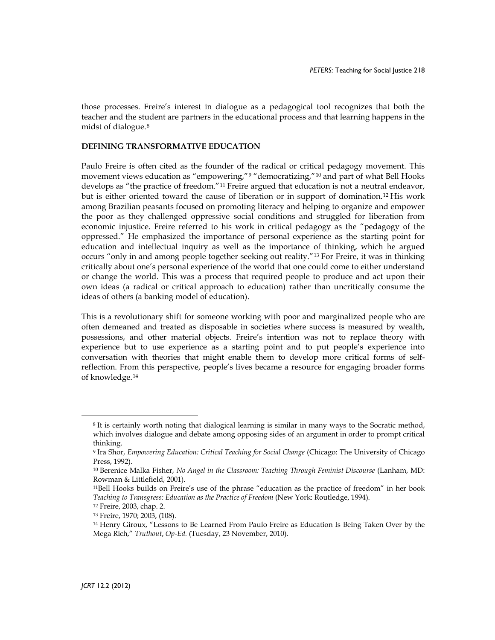those processes. Freire's interest in dialogue as a pedagogical tool recognizes that both the teacher and the student are partners in the educational process and that learning happens in the midst of dialogue.[8](#page-3-0)

## **DEFINING TRANSFORMATIVE EDUCATION**

Paulo Freire is often cited as the founder of the radical or critical pedagogy movement. This movement views education as "empowering,"<sup>[9](#page-3-1)</sup> "democratizing,"<sup>[10](#page-3-2)</sup> and part of what Bell Hooks develops as "the practice of freedom."[11](#page-3-3) Freire argued that education is not a neutral endeavor, but is either oriented toward the cause of liberation or in support of domination.[12](#page-3-4) His work among Brazilian peasants focused on promoting literacy and helping to organize and empower the poor as they challenged oppressive social conditions and struggled for liberation from economic injustice. Freire referred to his work in critical pedagogy as the "pedagogy of the oppressed." He emphasized the importance of personal experience as the starting point for education and intellectual inquiry as well as the importance of thinking, which he argued occurs "only in and among people together seeking out reality."[13](#page-3-5) For Freire, it was in thinking critically about one's personal experience of the world that one could come to either understand or change the world. This was a process that required people to produce and act upon their own ideas (a radical or critical approach to education) rather than uncritically consume the ideas of others (a banking model of education).

This is a revolutionary shift for someone working with poor and marginalized people who are often demeaned and treated as disposable in societies where success is measured by wealth, possessions, and other material objects. Freire's intention was not to replace theory with experience but to use experience as a starting point and to put people's experience into conversation with theories that might enable them to develop more critical forms of selfreflection. From this perspective, people's lives became a resource for engaging broader forms of knowledge.[14](#page-3-6)

<span id="page-3-0"></span><sup>8</sup> It is certainly worth noting that dialogical learning is similar in many ways to the Socratic method, which involves dialogue and debate among opposing sides of an argument in order to prompt critical thinking.

<span id="page-3-1"></span><sup>9</sup> Ira Shor, *Empowering Education: Critical Teaching for Social Change* (Chicago: The University of Chicago Press, 1992).

<span id="page-3-2"></span><sup>10</sup> Berenice Malka Fisher, *No Angel in the Classroom: Teaching Through Feminist Discourse* (Lanham, MD: Rowman & Littlefield, 2001).

<span id="page-3-3"></span><sup>11</sup>Bell Hooks builds on Freire's use of the phrase "education as the practice of freedom" in her book *Teaching to Transgress: Education as the Practice of Freedom* (New York: Routledge, 1994).

<span id="page-3-4"></span><sup>12</sup> Freire, 2003, chap. 2.

<sup>13</sup> Freire, 1970; 2003, (108).

<span id="page-3-6"></span><span id="page-3-5"></span><sup>14</sup> Henry Giroux, "Lessons to Be Learned From Paulo Freire as Education Is Being Taken Over by the Mega Rich," *Truthout*, *Op-Ed.* (Tuesday, 23 November, 2010).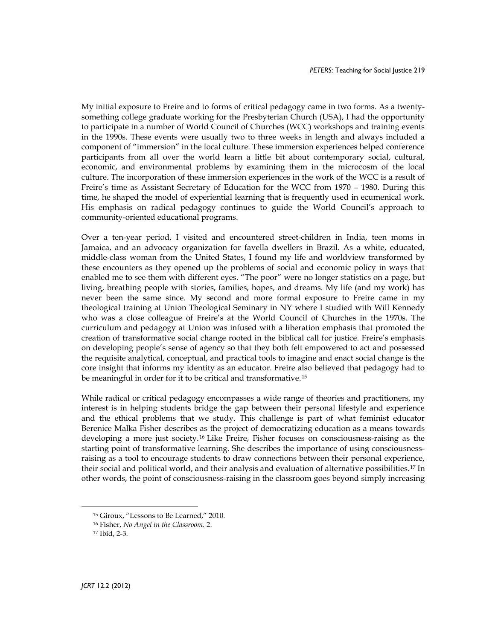My initial exposure to Freire and to forms of critical pedagogy came in two forms. As a twentysomething college graduate working for the Presbyterian Church (USA), I had the opportunity to participate in a number of World Council of Churches (WCC) workshops and training events in the 1990s. These events were usually two to three weeks in length and always included a component of "immersion" in the local culture. These immersion experiences helped conference participants from all over the world learn a little bit about contemporary social, cultural, economic, and environmental problems by examining them in the microcosm of the local culture. The incorporation of these immersion experiences in the work of the WCC is a result of Freire's time as Assistant Secretary of Education for the WCC from 1970 – 1980. During this time, he shaped the model of experiential learning that is frequently used in ecumenical work. His emphasis on radical pedagogy continues to guide the World Council's approach to community-oriented educational programs.

Over a ten-year period, I visited and encountered street-children in India, teen moms in Jamaica, and an advocacy organization for favella dwellers in Brazil. As a white, educated, middle-class woman from the United States, I found my life and worldview transformed by these encounters as they opened up the problems of social and economic policy in ways that enabled me to see them with different eyes. "The poor" were no longer statistics on a page, but living, breathing people with stories, families, hopes, and dreams. My life (and my work) has never been the same since. My second and more formal exposure to Freire came in my theological training at Union Theological Seminary in NY where I studied with Will Kennedy who was a close colleague of Freire's at the World Council of Churches in the 1970s. The curriculum and pedagogy at Union was infused with a liberation emphasis that promoted the creation of transformative social change rooted in the biblical call for justice. Freire's emphasis on developing people's sense of agency so that they both felt empowered to act and possessed the requisite analytical, conceptual, and practical tools to imagine and enact social change is the core insight that informs my identity as an educator. Freire also believed that pedagogy had to be meaningful in order for it to be critical and transformative.[15](#page-4-0)

While radical or critical pedagogy encompasses a wide range of theories and practitioners, my interest is in helping students bridge the gap between their personal lifestyle and experience and the ethical problems that we study. This challenge is part of what feminist educator Berenice Malka Fisher describes as the project of democratizing education as a means towards developing a more just society.[16](#page-4-1) Like Freire, Fisher focuses on consciousness-raising as the starting point of transformative learning. She describes the importance of using consciousnessraising as a tool to encourage students to draw connections between their personal experience, their social and political world, and their analysis and evaluation of alternative possibilities.[17](#page-4-2) In other words, the point of consciousness-raising in the classroom goes beyond simply increasing

<span id="page-4-0"></span><sup>15</sup> Giroux, "Lessons to Be Learned," 2010.

<sup>16</sup> Fisher, *No Angel in the Classroom,* 2.

<span id="page-4-2"></span><span id="page-4-1"></span><sup>17</sup> Ibid, 2-3.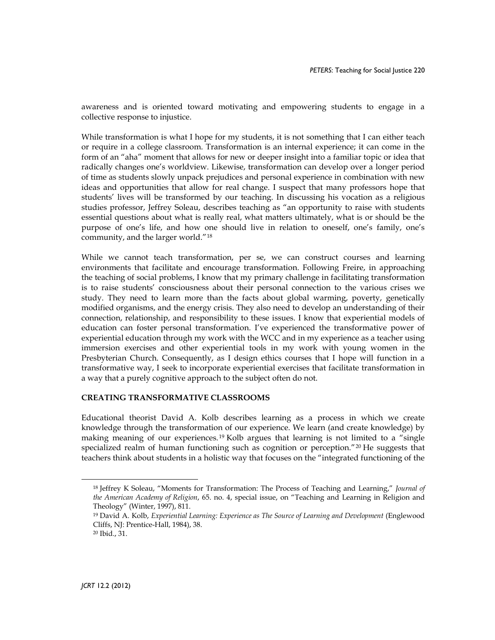awareness and is oriented toward motivating and empowering students to engage in a collective response to injustice.

While transformation is what I hope for my students, it is not something that I can either teach or require in a college classroom. Transformation is an internal experience; it can come in the form of an "aha" moment that allows for new or deeper insight into a familiar topic or idea that radically changes one's worldview. Likewise, transformation can develop over a longer period of time as students slowly unpack prejudices and personal experience in combination with new ideas and opportunities that allow for real change. I suspect that many professors hope that students' lives will be transformed by our teaching. In discussing his vocation as a religious studies professor, Jeffrey Soleau, describes teaching as "an opportunity to raise with students essential questions about what is really real, what matters ultimately, what is or should be the purpose of one's life, and how one should live in relation to oneself, one's family, one's community, and the larger world."[18](#page-5-0)

While we cannot teach transformation, per se, we can construct courses and learning environments that facilitate and encourage transformation. Following Freire, in approaching the teaching of social problems, I know that my primary challenge in facilitating transformation is to raise students' consciousness about their personal connection to the various crises we study. They need to learn more than the facts about global warming, poverty, genetically modified organisms, and the energy crisis. They also need to develop an understanding of their connection, relationship, and responsibility to these issues. I know that experiential models of education can foster personal transformation. I've experienced the transformative power of experiential education through my work with the WCC and in my experience as a teacher using immersion exercises and other experiential tools in my work with young women in the Presbyterian Church. Consequently, as I design ethics courses that I hope will function in a transformative way, I seek to incorporate experiential exercises that facilitate transformation in a way that a purely cognitive approach to the subject often do not.

## **CREATING TRANSFORMATIVE CLASSROOMS**

Educational theorist David A. Kolb describes learning as a process in which we create knowledge through the transformation of our experience. We learn (and create knowledge) by making meaning of our experiences. [19](#page-5-1) Kolb argues that learning is not limited to a "single specialized realm of human functioning such as cognition or perception."<sup>[20](#page-5-2)</sup> He suggests that teachers think about students in a holistic way that focuses on the "integrated functioning of the

<span id="page-5-0"></span><sup>18</sup> Jeffrey K Soleau, "Moments for Transformation: The Process of Teaching and Learning," *Journal of the American Academy of Religion*, 65. no. 4, special issue, on "Teaching and Learning in Religion and Theology" (Winter, 1997), 811.

<span id="page-5-1"></span><sup>19</sup> David A. Kolb, *Experiential Learning: Experience as The Source of Learning and Development* (Englewood Cliffs, NJ: Prentice-Hall, 1984), 38.

<span id="page-5-2"></span><sup>20</sup> Ibid., 31.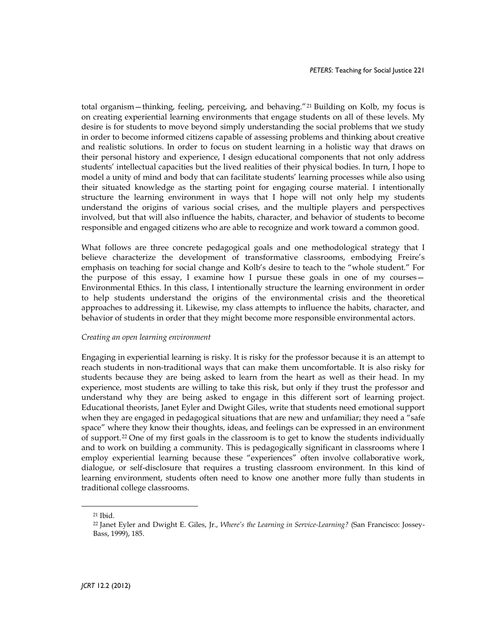total organism—thinking, feeling, perceiving, and behaving."[21](#page-6-0) Building on Kolb, my focus is on creating experiential learning environments that engage students on all of these levels. My desire is for students to move beyond simply understanding the social problems that we study in order to become informed citizens capable of assessing problems and thinking about creative and realistic solutions. In order to focus on student learning in a holistic way that draws on their personal history and experience, I design educational components that not only address students' intellectual capacities but the lived realities of their physical bodies. In turn, I hope to model a unity of mind and body that can facilitate students' learning processes while also using their situated knowledge as the starting point for engaging course material. I intentionally structure the learning environment in ways that I hope will not only help my students understand the origins of various social crises, and the multiple players and perspectives involved, but that will also influence the habits, character, and behavior of students to become responsible and engaged citizens who are able to recognize and work toward a common good.

What follows are three concrete pedagogical goals and one methodological strategy that I believe characterize the development of transformative classrooms, embodying Freire's emphasis on teaching for social change and Kolb's desire to teach to the "whole student." For the purpose of this essay, I examine how I pursue these goals in one of my courses— Environmental Ethics. In this class, I intentionally structure the learning environment in order to help students understand the origins of the environmental crisis and the theoretical approaches to addressing it. Likewise, my class attempts to influence the habits, character, and behavior of students in order that they might become more responsible environmental actors.

#### *Creating an open learning environment*

Engaging in experiential learning is risky. It is risky for the professor because it is an attempt to reach students in non-traditional ways that can make them uncomfortable. It is also risky for students because they are being asked to learn from the heart as well as their head. In my experience, most students are willing to take this risk, but only if they trust the professor and understand why they are being asked to engage in this different sort of learning project. Educational theorists, Janet Eyler and Dwight Giles, write that students need emotional support when they are engaged in pedagogical situations that are new and unfamiliar; they need a "safe space" where they know their thoughts, ideas, and feelings can be expressed in an environment of support.[22](#page-6-1) One of my first goals in the classroom is to get to know the students individually and to work on building a community. This is pedagogically significant in classrooms where I employ experiential learning because these "experiences" often involve collaborative work, dialogue, or self-disclosure that requires a trusting classroom environment. In this kind of learning environment, students often need to know one another more fully than students in traditional college classrooms.

<span id="page-6-1"></span><span id="page-6-0"></span><sup>21</sup> Ibid.

<sup>22</sup> Janet Eyler and Dwight E. Giles, Jr., *Where's the Learning in Service-Learning?* (San Francisco: Jossey-Bass, 1999), 185.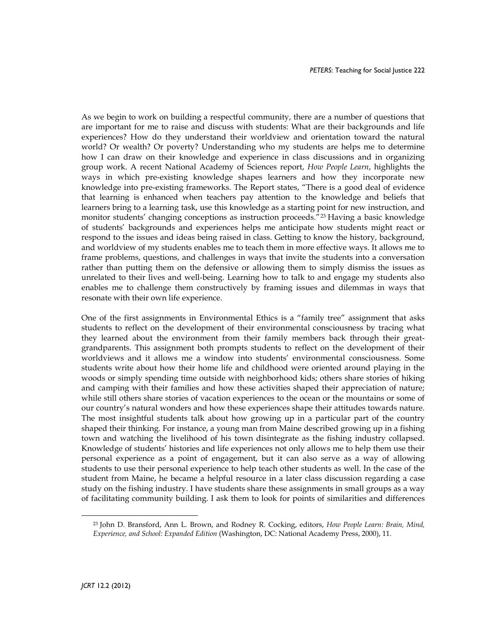As we begin to work on building a respectful community, there are a number of questions that are important for me to raise and discuss with students: What are their backgrounds and life experiences? How do they understand their worldview and orientation toward the natural world? Or wealth? Or poverty? Understanding who my students are helps me to determine how I can draw on their knowledge and experience in class discussions and in organizing group work. A recent National Academy of Sciences report, *How People Learn*, highlights the ways in which pre-existing knowledge shapes learners and how they incorporate new knowledge into pre-existing frameworks. The Report states, "There is a good deal of evidence that learning is enhanced when teachers pay attention to the knowledge and beliefs that learners bring to a learning task, use this knowledge as a starting point for new instruction, and monitor students' changing conceptions as instruction proceeds."[23](#page-7-0) Having a basic knowledge of students' backgrounds and experiences helps me anticipate how students might react or respond to the issues and ideas being raised in class. Getting to know the history, background, and worldview of my students enables me to teach them in more effective ways. It allows me to frame problems, questions, and challenges in ways that invite the students into a conversation rather than putting them on the defensive or allowing them to simply dismiss the issues as unrelated to their lives and well-being. Learning how to talk to and engage my students also enables me to challenge them constructively by framing issues and dilemmas in ways that resonate with their own life experience.

One of the first assignments in Environmental Ethics is a "family tree" assignment that asks students to reflect on the development of their environmental consciousness by tracing what they learned about the environment from their family members back through their greatgrandparents. This assignment both prompts students to reflect on the development of their worldviews and it allows me a window into students' environmental consciousness. Some students write about how their home life and childhood were oriented around playing in the woods or simply spending time outside with neighborhood kids; others share stories of hiking and camping with their families and how these activities shaped their appreciation of nature; while still others share stories of vacation experiences to the ocean or the mountains or some of our country's natural wonders and how these experiences shape their attitudes towards nature. The most insightful students talk about how growing up in a particular part of the country shaped their thinking. For instance, a young man from Maine described growing up in a fishing town and watching the livelihood of his town disintegrate as the fishing industry collapsed. Knowledge of students' histories and life experiences not only allows me to help them use their personal experience as a point of engagement, but it can also serve as a way of allowing students to use their personal experience to help teach other students as well. In the case of the student from Maine, he became a helpful resource in a later class discussion regarding a case study on the fishing industry. I have students share these assignments in small groups as a way of facilitating community building. I ask them to look for points of similarities and differences

<span id="page-7-0"></span><sup>23</sup> John D. Bransford, Ann L. Brown, and Rodney R. Cocking, editors, *How People Learn: Brain, Mind, Experience, and School: Expanded Edition* (Washington, DC: National Academy Press, 2000), 11.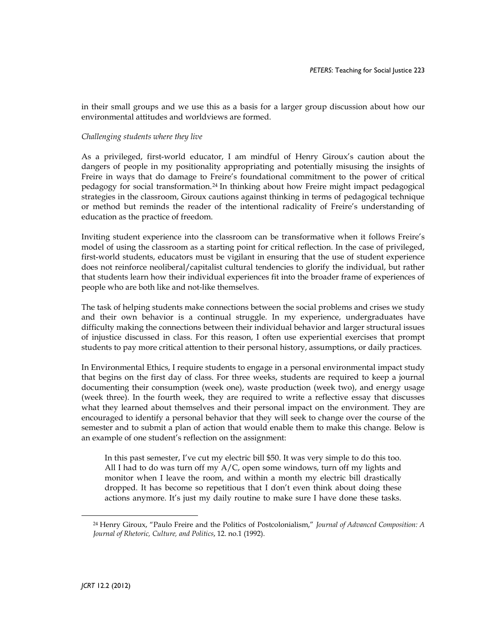in their small groups and we use this as a basis for a larger group discussion about how our environmental attitudes and worldviews are formed.

#### *Challenging students where they live*

As a privileged, first-world educator, I am mindful of Henry Giroux's caution about the dangers of people in my positionality appropriating and potentially misusing the insights of Freire in ways that do damage to Freire's foundational commitment to the power of critical pedagogy for social transformation.[24](#page-8-0) In thinking about how Freire might impact pedagogical strategies in the classroom, Giroux cautions against thinking in terms of pedagogical technique or method but reminds the reader of the intentional radicality of Freire's understanding of education as the practice of freedom.

Inviting student experience into the classroom can be transformative when it follows Freire's model of using the classroom as a starting point for critical reflection. In the case of privileged, first-world students, educators must be vigilant in ensuring that the use of student experience does not reinforce neoliberal/capitalist cultural tendencies to glorify the individual, but rather that students learn how their individual experiences fit into the broader frame of experiences of people who are both like and not-like themselves.

The task of helping students make connections between the social problems and crises we study and their own behavior is a continual struggle. In my experience, undergraduates have difficulty making the connections between their individual behavior and larger structural issues of injustice discussed in class. For this reason, I often use experiential exercises that prompt students to pay more critical attention to their personal history, assumptions, or daily practices.

In Environmental Ethics, I require students to engage in a personal environmental impact study that begins on the first day of class. For three weeks, students are required to keep a journal documenting their consumption (week one), waste production (week two), and energy usage (week three). In the fourth week, they are required to write a reflective essay that discusses what they learned about themselves and their personal impact on the environment. They are encouraged to identify a personal behavior that they will seek to change over the course of the semester and to submit a plan of action that would enable them to make this change. Below is an example of one student's reflection on the assignment:

In this past semester, I've cut my electric bill \$50. It was very simple to do this too. All I had to do was turn off my  $A/C$ , open some windows, turn off my lights and monitor when I leave the room, and within a month my electric bill drastically dropped. It has become so repetitious that I don't even think about doing these actions anymore. It's just my daily routine to make sure I have done these tasks.

<span id="page-8-0"></span><sup>24</sup> Henry Giroux, "Paulo Freire and the Politics of Postcolonialism," *Journal of Advanced Composition: A Journal of Rhetoric, Culture, and Politics*, 12. no.1 (1992).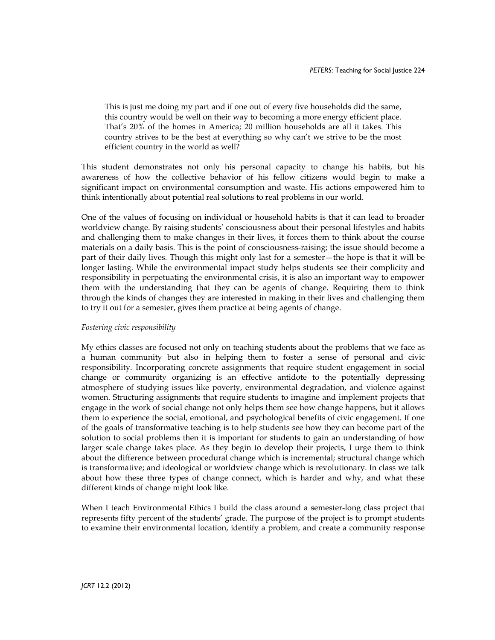This is just me doing my part and if one out of every five households did the same, this country would be well on their way to becoming a more energy efficient place. That's 20% of the homes in America; 20 million households are all it takes. This country strives to be the best at everything so why can't we strive to be the most efficient country in the world as well?

This student demonstrates not only his personal capacity to change his habits, but his awareness of how the collective behavior of his fellow citizens would begin to make a significant impact on environmental consumption and waste. His actions empowered him to think intentionally about potential real solutions to real problems in our world.

One of the values of focusing on individual or household habits is that it can lead to broader worldview change. By raising students' consciousness about their personal lifestyles and habits and challenging them to make changes in their lives, it forces them to think about the course materials on a daily basis. This is the point of consciousness-raising; the issue should become a part of their daily lives. Though this might only last for a semester—the hope is that it will be longer lasting. While the environmental impact study helps students see their complicity and responsibility in perpetuating the environmental crisis, it is also an important way to empower them with the understanding that they can be agents of change. Requiring them to think through the kinds of changes they are interested in making in their lives and challenging them to try it out for a semester, gives them practice at being agents of change.

## *Fostering civic responsibility*

My ethics classes are focused not only on teaching students about the problems that we face as a human community but also in helping them to foster a sense of personal and civic responsibility. Incorporating concrete assignments that require student engagement in social change or community organizing is an effective antidote to the potentially depressing atmosphere of studying issues like poverty, environmental degradation, and violence against women. Structuring assignments that require students to imagine and implement projects that engage in the work of social change not only helps them see how change happens, but it allows them to experience the social, emotional, and psychological benefits of civic engagement. If one of the goals of transformative teaching is to help students see how they can become part of the solution to social problems then it is important for students to gain an understanding of how larger scale change takes place. As they begin to develop their projects, I urge them to think about the difference between procedural change which is incremental; structural change which is transformative; and ideological or worldview change which is revolutionary. In class we talk about how these three types of change connect, which is harder and why, and what these different kinds of change might look like.

When I teach Environmental Ethics I build the class around a semester-long class project that represents fifty percent of the students' grade. The purpose of the project is to prompt students to examine their environmental location, identify a problem, and create a community response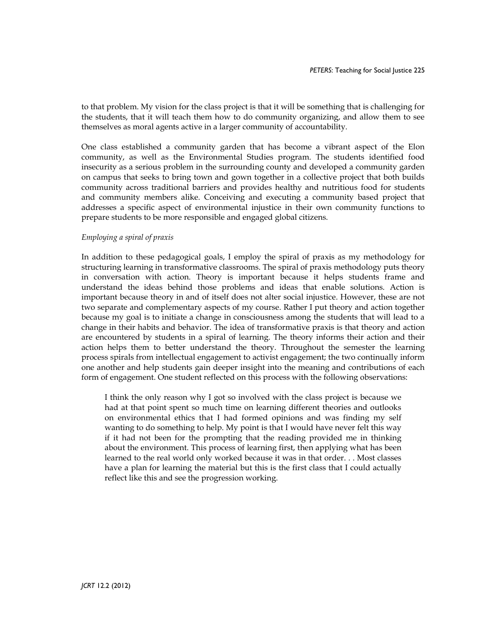to that problem. My vision for the class project is that it will be something that is challenging for the students, that it will teach them how to do community organizing, and allow them to see themselves as moral agents active in a larger community of accountability.

One class established a community garden that has become a vibrant aspect of the Elon community, as well as the Environmental Studies program. The students identified food insecurity as a serious problem in the surrounding county and developed a community garden on campus that seeks to bring town and gown together in a collective project that both builds community across traditional barriers and provides healthy and nutritious food for students and community members alike. Conceiving and executing a community based project that addresses a specific aspect of environmental injustice in their own community functions to prepare students to be more responsible and engaged global citizens.

#### *Employing a spiral of praxis*

In addition to these pedagogical goals, I employ the spiral of praxis as my methodology for structuring learning in transformative classrooms. The spiral of praxis methodology puts theory in conversation with action. Theory is important because it helps students frame and understand the ideas behind those problems and ideas that enable solutions. Action is important because theory in and of itself does not alter social injustice. However, these are not two separate and complementary aspects of my course. Rather I put theory and action together because my goal is to initiate a change in consciousness among the students that will lead to a change in their habits and behavior. The idea of transformative praxis is that theory and action are encountered by students in a spiral of learning. The theory informs their action and their action helps them to better understand the theory. Throughout the semester the learning process spirals from intellectual engagement to activist engagement; the two continually inform one another and help students gain deeper insight into the meaning and contributions of each form of engagement. One student reflected on this process with the following observations:

I think the only reason why I got so involved with the class project is because we had at that point spent so much time on learning different theories and outlooks on environmental ethics that I had formed opinions and was finding my self wanting to do something to help. My point is that I would have never felt this way if it had not been for the prompting that the reading provided me in thinking about the environment. This process of learning first, then applying what has been learned to the real world only worked because it was in that order. . . Most classes have a plan for learning the material but this is the first class that I could actually reflect like this and see the progression working.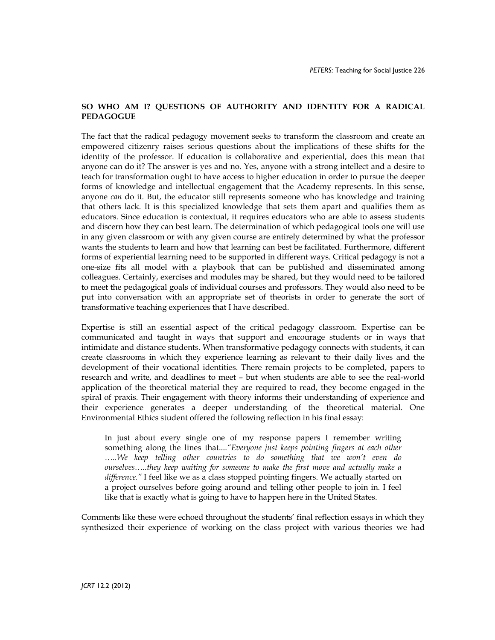# **SO WHO AM I? QUESTIONS OF AUTHORITY AND IDENTITY FOR A RADICAL PEDAGOGUE**

The fact that the radical pedagogy movement seeks to transform the classroom and create an empowered citizenry raises serious questions about the implications of these shifts for the identity of the professor. If education is collaborative and experiential, does this mean that anyone can do it? The answer is yes and no. Yes, anyone with a strong intellect and a desire to teach for transformation ought to have access to higher education in order to pursue the deeper forms of knowledge and intellectual engagement that the Academy represents. In this sense, anyone *can* do it. But, the educator still represents someone who has knowledge and training that others lack. It is this specialized knowledge that sets them apart and qualifies them as educators. Since education is contextual, it requires educators who are able to assess students and discern how they can best learn. The determination of which pedagogical tools one will use in any given classroom or with any given course are entirely determined by what the professor wants the students to learn and how that learning can best be facilitated. Furthermore, different forms of experiential learning need to be supported in different ways. Critical pedagogy is not a one-size fits all model with a playbook that can be published and disseminated among colleagues. Certainly, exercises and modules may be shared, but they would need to be tailored to meet the pedagogical goals of individual courses and professors. They would also need to be put into conversation with an appropriate set of theorists in order to generate the sort of transformative teaching experiences that I have described.

Expertise is still an essential aspect of the critical pedagogy classroom. Expertise can be communicated and taught in ways that support and encourage students or in ways that intimidate and distance students. When transformative pedagogy connects with students, it can create classrooms in which they experience learning as relevant to their daily lives and the development of their vocational identities. There remain projects to be completed, papers to research and write, and deadlines to meet – but when students are able to see the real-world application of the theoretical material they are required to read, they become engaged in the spiral of praxis. Their engagement with theory informs their understanding of experience and their experience generates a deeper understanding of the theoretical material. One Environmental Ethics student offered the following reflection in his final essay:

In just about every single one of my response papers I remember writing something along the lines that....*"Everyone just keeps pointing fingers at each other …..We keep telling other countries to do something that we won't even do ourselves…..they keep waiting for someone to make the first move and actually make a difference."* I feel like we as a class stopped pointing fingers. We actually started on a project ourselves before going around and telling other people to join in. I feel like that is exactly what is going to have to happen here in the United States.

Comments like these were echoed throughout the students' final reflection essays in which they synthesized their experience of working on the class project with various theories we had